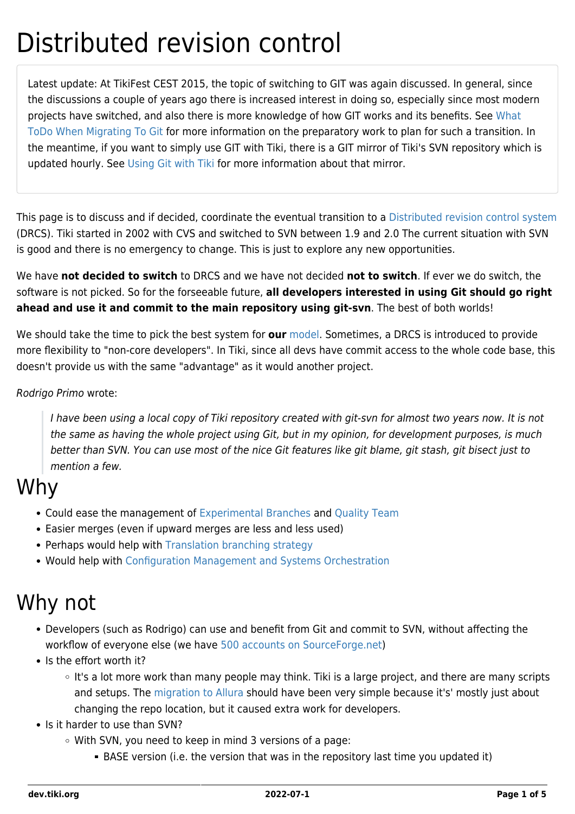# Distributed revision control

Latest update: At TikiFest CEST 2015, the topic of switching to GIT was again discussed. In general, since the discussions a couple of years ago there is increased interest in doing so, especially since most modern projects have switched, and also there is more knowledge of how GIT works and its benefits. See [What](https://dev.tiki.org/What-ToDo-When-Migrating-To-Git) [ToDo When Migrating To Git](https://dev.tiki.org/What-ToDo-When-Migrating-To-Git) for more information on the preparatory work to plan for such a transition. In the meantime, if you want to simply use GIT with Tiki, there is a GIT mirror of Tiki's SVN repository which is updated hourly. See [Using Git with Tiki](https://dev.tiki.org/Using-Git-with-Tiki) for more information about that mirror.

This page is to discuss and if decided, coordinate the eventual transition to a [Distributed revision control system](http://en.wikipedia.org/wiki/Distributed_revision_control) (DRCS). Tiki started in 2002 with CVS and switched to SVN between 1.9 and 2.0 The current situation with SVN is good and there is no emergency to change. This is just to explore any new opportunities.

We have **not decided to switch** to DRCS and we have not decided **not to switch**. If ever we do switch, the software is not picked. So for the forseeable future, **all developers interested in using Git should go right ahead and use it and commit to the main repository using git-svn**. The best of both worlds!

We should take the time to pick the best system for **our** [model.](http://tiki.org/model) Sometimes, a DRCS is introduced to provide more flexibility to "non-core developers". In Tiki, since all devs have commit access to the whole code base, this doesn't provide us with the same "advantage" as it would another project.

#### Rodrigo Primo wrote:

I have been using a local copy of Tiki repository created with git-svn for almost two years now. It is not the same as having the whole project using Git, but in my opinion, for development purposes, is much better than SVN. You can use most of the nice Git features like git blame, git stash, git bisect just to mention a few.

## Why

- Could ease the management of [Experimental Branches](https://dev.tiki.org/Experimental-Branches) and [Quality Team](https://dev.tiki.org/Quality-Team)
- Easier merges (even if upward merges are less and less used)
- Perhaps would help with [Translation branching strategy](http://tiki.org/Translation%20branching%20strategy)
- Would help with [Configuration Management and Systems Orchestration](https://dev.tiki.org/Configuration-Management-and-Systems-Orchestration)

## Why not

- Developers (such as Rodrigo) can use and benefit from Git and commit to SVN, without affecting the workflow of everyone else (we have [500 accounts on SourceForge.net\)](https://tiki.org/article370-Tiki-reaches-500-contributors-with-commit-access)
- Is the effort worth it?
	- It's a lot more work than many people may think. Tiki is a large project, and there are many scripts and setups. The [migration to Allura](http://tiki.org/Migrate%20to%20Allura) should have been very simple because it's' mostly just about changing the repo location, but it caused extra work for developers.
- Is it harder to use than SVN?
	- With SVN, you need to keep in mind 3 versions of a page:
		- BASE version (i.e. the version that was in the repository last time you updated it)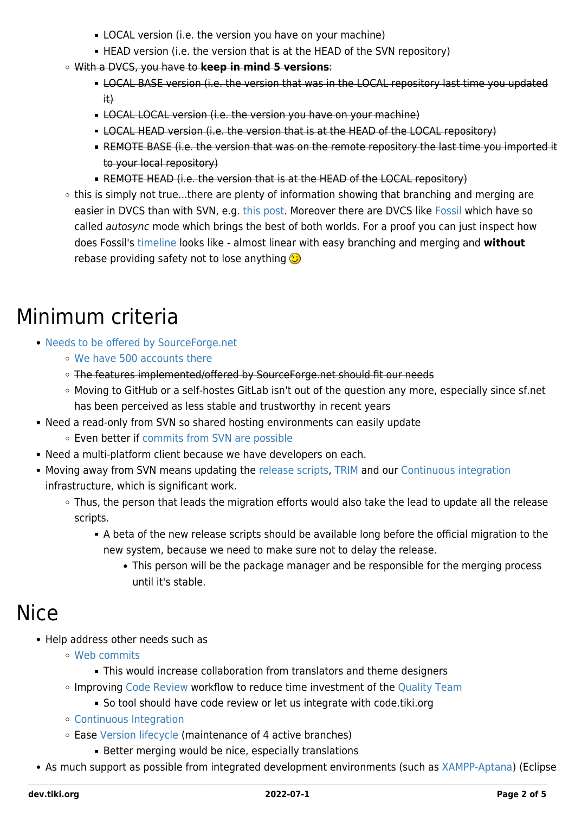- **LOCAL version (i.e. the version you have on your machine)**
- HEAD version (i.e. the version that is at the HEAD of the SVN repository)
- With a DVCS, you have to **keep in mind 5 versions**:
	- **EXAL BASE version (i.e. the version that was in the LOCAL repository last time you updated** it)
	- **EXAL LOCAL version (i.e. the version you have on your machine)**
	- **EXAL HEAD version (i.e. the version that is at the HEAD of the LOCAL repository)**
	- REMOTE BASE (i.e. the version that was on the remote repository the last time you imported it to your local repository)
	- REMOTE HEAD (i.e. the version that is at the HEAD of the LOCAL repository)
- $\circ$  this is simply not true...there are plenty of information showing that branching and merging are easier in DVCS than with SVN, e.g. [this post](http://stackroulette.com/stackoverflow/2471606/how-and-or-why-is-merging-in-git-better-than-in-svn). Moreover there are DVCS like [Fossil](http://fossil-scm.org/index.html/doc/tip/www/concepts.wiki#workflow) which have so called autosync mode which brings the best of both worlds. For a proof you can just inspect how does Fossil's [timeline](http://fossil-scm.org/index.html/timeline?n=200&y=ci) looks like - almost linear with easy branching and merging and **without** rebase providing safety not to lose anything  $\bigodot$

## Minimum criteria

- [Needs to be offered by SourceForge.net](http://sourceforge.net/apps/trac/sourceforge/wiki/What%20is%20Source%20Code%20Management)
	- [We have 500 accounts there](https://tiki.org/article370-Tiki-reaches-500-contributors-with-commit-access)
	- o The features implemented/offered by SourceForge.net should fit our needs
	- Moving to GitHub or a self-hostes GitLab isn't out of the question any more, especially since sf.net has been perceived as less stable and trustworthy in recent years
- Need a read-only from SVN so shared hosting environments can easily update Even better if [commits from SVN are possible](https://github.com/blog/644-subversion-write-support)
- Need a multi-platform client because we have developers on each.
- Moving away from SVN means updating the [release scripts](https://dev.tiki.org/Releasing), [TRIM](https://dev.tiki.org/TRIM) and our [Continuous integration](https://dev.tiki.org/Continuous-Integration) infrastructure, which is significant work.
	- Thus, the person that leads the migration efforts would also take the lead to update all the release scripts.
		- A beta of the new release scripts should be available long before the official migration to the new system, because we need to make sure not to delay the release.
			- This person will be the package manager and be responsible for the merging process until it's stable.

## Nice

- Help address other needs such as
	- [Web commits](https://dev.tiki.org/Web-commits)
		- This would increase collaboration from translators and theme designers
	- o Improving [Code Review](https://dev.tiki.org/Code-Review) workflow to reduce time investment of the [Quality Team](https://dev.tiki.org/Quality-Team)
		- So tool should have code review or let us integrate with code.tiki.org
	- [Continuous Integration](https://dev.tiki.org/Continuous-Integration)
	- Ease [Version lifecycle](https://dev.tiki.org/Version-lifecycle) (maintenance of 4 active branches)
		- **Better merging would be nice, especially translations**
- As much support as possible from integrated development environments (such as [XAMPP-Aptana\)](https://dev.tiki.org/XAMPP-Aptana) (Eclipse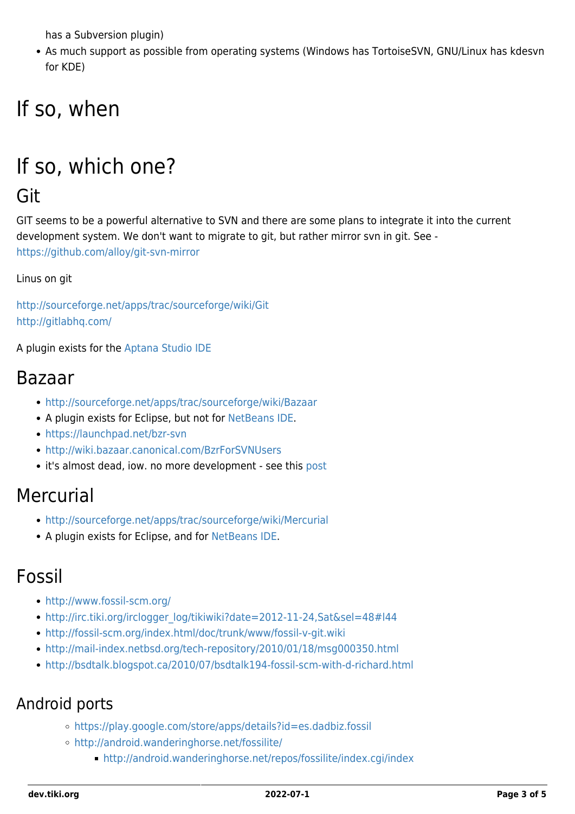has a Subversion plugin)

As much support as possible from operating systems (Windows has TortoiseSVN, GNU/Linux has kdesvn for KDE)

# If so, when

# If so, which one?

## Git

GIT seems to be a powerful alternative to SVN and there are some plans to integrate it into the current development system. We don't want to migrate to git, but rather mirror svn in git. See <https://github.com/alloy/git-svn-mirror>

Linus on git

<http://sourceforge.net/apps/trac/sourceforge/wiki/Git> <http://gitlabhq.com/>

A plugin exists for the [Aptana Studio IDE](http://www.aptana.org/)

#### Bazaar

- <http://sourceforge.net/apps/trac/sourceforge/wiki/Bazaar>
- A plugin exists for Eclipse, but not for [NetBeans IDE.](http://www.netbeans.org)
- <https://launchpad.net/bzr-svn>
- <http://wiki.bazaar.canonical.com/BzrForSVNUsers>
- it's almost dead, iow. no more development see this [post](http://stationary-traveller.eu/pages/bzr-a-retrospective.html)

### Mercurial

- <http://sourceforge.net/apps/trac/sourceforge/wiki/Mercurial>
- A plugin exists for Eclipse, and for [NetBeans IDE.](http://www.netbeans.org)

### Fossil

- <http://www.fossil-scm.org/>
- [http://irc.tiki.org/irclogger\\_log/tikiwiki?date=2012-11-24,Sat&sel=48#l44](http://irc.tiki.org/irclogger_log/tikiwiki?date=2012-11-24,Sat&sel=48#l44)
- <http://fossil-scm.org/index.html/doc/trunk/www/fossil-v-git.wiki>
- <http://mail-index.netbsd.org/tech-repository/2010/01/18/msg000350.html>
- <http://bsdtalk.blogspot.ca/2010/07/bsdtalk194-fossil-scm-with-d-richard.html>

#### Android ports

- <https://play.google.com/store/apps/details?id=es.dadbiz.fossil>
- <http://android.wanderinghorse.net/fossilite/>
	- <http://android.wanderinghorse.net/repos/fossilite/index.cgi/index>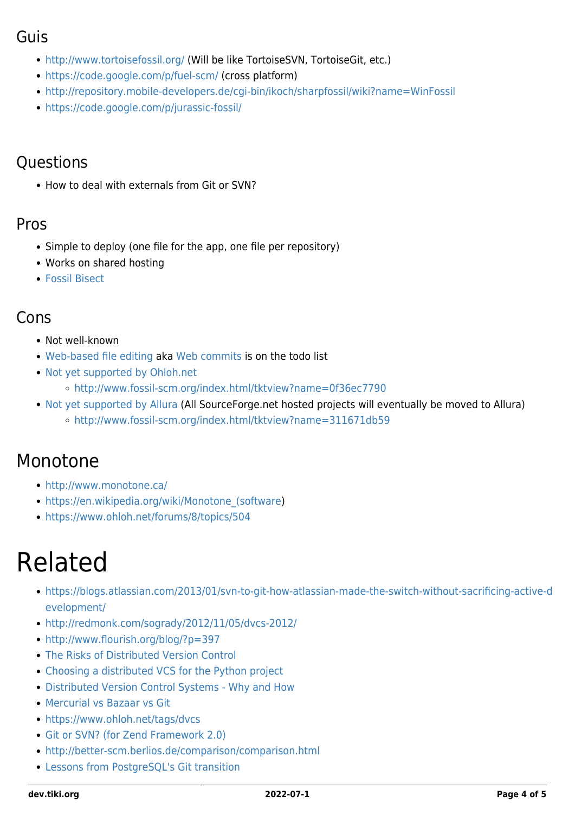#### Guis

- <http://www.tortoisefossil.org/> (Will be like TortoiseSVN, TortoiseGit, etc.)
- <https://code.google.com/p/fuel-scm/> (cross platform)
- <http://repository.mobile-developers.de/cgi-bin/ikoch/sharpfossil/wiki?name=WinFossil>
- <https://code.google.com/p/jurassic-fossil/>

#### **Questions**

• How to deal with externals from Git or SVN?

#### Pros

- Simple to deploy (one file for the app, one file per repository)
- Works on shared hosting
- [Fossil Bisect](http://www.fossil-scm.org/xfer/help/bisect)

#### Cons

- Not well-known
- [Web-based file editing](http://www.fossil-scm.org/index.html/wiki?name=To+Do+List) aka [Web commits](https://dev.tiki.org/Web-commits) is on the todo list
- [Not yet supported by Ohloh.net](https://www.ohloh.net/forums/3491/topics/6447)
	- <http://www.fossil-scm.org/index.html/tktview?name=0f36ec7790>
- [Not yet supported by Allura](http://sourceforge.net/p/allura/tickets/5351/) (All SourceForge.net hosted projects will eventually be moved to Allura)
	- o <http://www.fossil-scm.org/index.html/tktview?name=311671db59>

### Monotone

- <http://www.monotone.ca/>
- https://en.wikipedia.org/wiki/Monotone (software)
- <https://www.ohloh.net/forums/8/topics/504>

# Related

- [https://blogs.atlassian.com/2013/01/svn-to-git-how-atlassian-made-the-switch-without-sacrificing-active-d](https://blogs.atlassian.com/2013/01/svn-to-git-how-atlassian-made-the-switch-without-sacrificing-active-development/) [evelopment/](https://blogs.atlassian.com/2013/01/svn-to-git-how-atlassian-made-the-switch-without-sacrificing-active-development/)
- <http://redmonk.com/sogrady/2012/11/05/dvcs-2012/>
- <http://www.flourish.org/blog/?p=397>
- [The Risks of Distributed Version Control](http://blog.red-bean.com/sussman/?p=20)
- [Choosing a distributed VCS for the Python project](http://www.python.org/dev/peps/pep-0374/)
- [Distributed Version Control Systems Why and How](http://ianclatworthy.files.wordpress.com/2007/10/dvcs-why-and-how3.pdf)
- [Mercurial vs Bazaar vs Git](https://www.ohloh.net/p/compare?project_0=Bazaar+Version+Control&project_1=Git&project_2=Mercurial)
- <https://www.ohloh.net/tags/dvcs>
- [Git or SVN? \(for Zend Framework 2.0\)](http://framework.zend.com/wiki/pages/viewpage.action?pageId=20873259)
- <http://better-scm.berlios.de/comparison/comparison.html>
- [Lessons from PostgreSQL's Git transition](http://lwn.net/Articles/409635/)